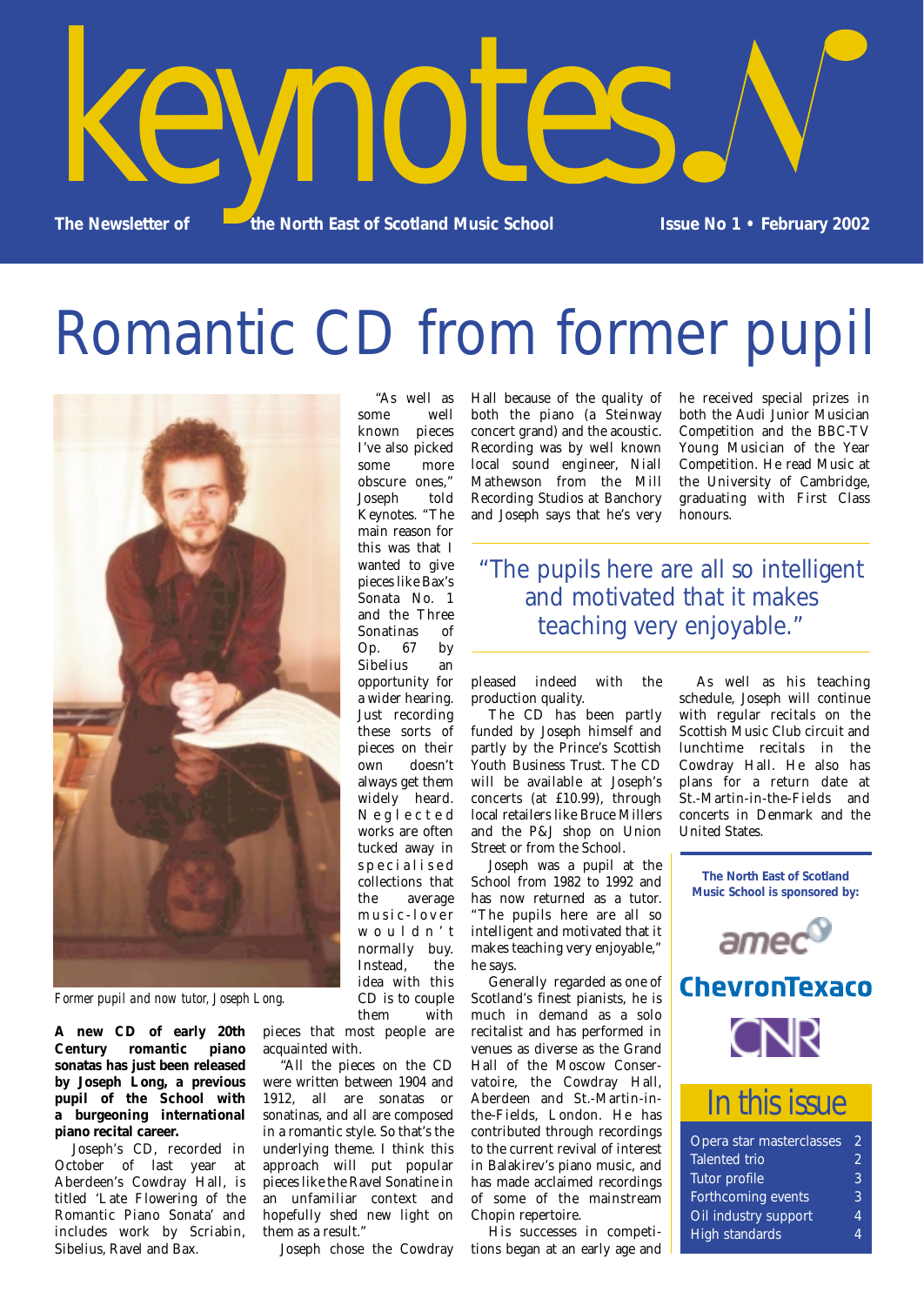

# Romantic CD from former pupil



*Former pupil and now tutor, Joseph Long.*

**A new CD of early 20th Century romantic piano sonatas has just been released by Joseph Long, a previous pupil of the School with a burgeoning international piano recital career.** 

Joseph's CD, recorded in October of last year at Aberdeen's Cowdray Hall, is titled 'Late Flowering of the Romantic Piano Sonata' and includes work by Scriabin, Sibelius, Ravel and Bax.

"As well as some well known pieces I've also picked some more obscure ones," Joseph told Keynotes. "The main reason for this was that I wanted to give pieces like Bax's Sonata No. 1 and the Three Sonatinas of<br>Op. 67 by Op. 67 by Sibelius an opportunity for a wider hearing. Just recording these sorts of pieces on their own doesn't always get them widely heard. Neglected works are often tucked away in specialised collections that the average music-lover wouldn't normally buy. Instead, the idea with this CD is to couple them with

pieces that most people are acquainted with.

"All the pieces on the CD were written between 1904 and 1912, all are sonatas or sonatinas, and all are composed in a romantic style. So that's the underlying theme. I think this approach will put popular pieces like the Ravel Sonatine in an unfamiliar context and hopefully shed new light on them as a result."

Joseph chose the Cowdray

Hall because of the quality of both the piano (a Steinway concert grand) and the acoustic. Recording was by well known local sound engineer, Niall Mathewson from the Mill Recording Studios at Banchory and Joseph says that he's very

he received special prizes in both the Audi Junior Musician Competition and the BBC-TV Young Musician of the Year Competition. He read Music at the University of Cambridge, graduating with First Class honours.

### "The pupils here are all so intelligent and motivated that it makes teaching very enjoyable."

pleased indeed with the production quality.

The CD has been partly funded by Joseph himself and partly by the Prince's Scottish Youth Business Trust. The CD will be available at Joseph's concerts (at £10.99), through local retailers like Bruce Millers and the P&J shop on Union Street or from the School.

Joseph was a pupil at the School from 1982 to 1992 and has now returned as a tutor. "The pupils here are all so intelligent and motivated that it makes teaching very enjoyable," he says.

Generally regarded as one of Scotland's finest pianists, he is much in demand as a solo recitalist and has performed in venues as diverse as the Grand Hall of the Moscow Conservatoire, the Cowdray Hall, Aberdeen and St.-Martin-inthe-Fields, London. He has contributed through recordings to the current revival of interest in Balakirev's piano music, and has made acclaimed recordings of some of the mainstream Chopin repertoire.

His successes in competitions began at an early age and

As well as his teaching schedule, Joseph will continue with regular recitals on the Scottish Music Club circuit and lunchtime recitals in the Cowdray Hall. He also has plans for a return date at St.-Martin-in-the-Fields and concerts in Denmark and the United States.

**The North East of Scotland Music School is sponsored by:**







## *In this issue*

| Opera star masterclasses  | 2 |
|---------------------------|---|
| <b>Talented trio</b>      | 9 |
| Tutor profile             | ९ |
| <b>Forthcoming events</b> | 3 |
| Oil industry support      | 4 |
| High standards            |   |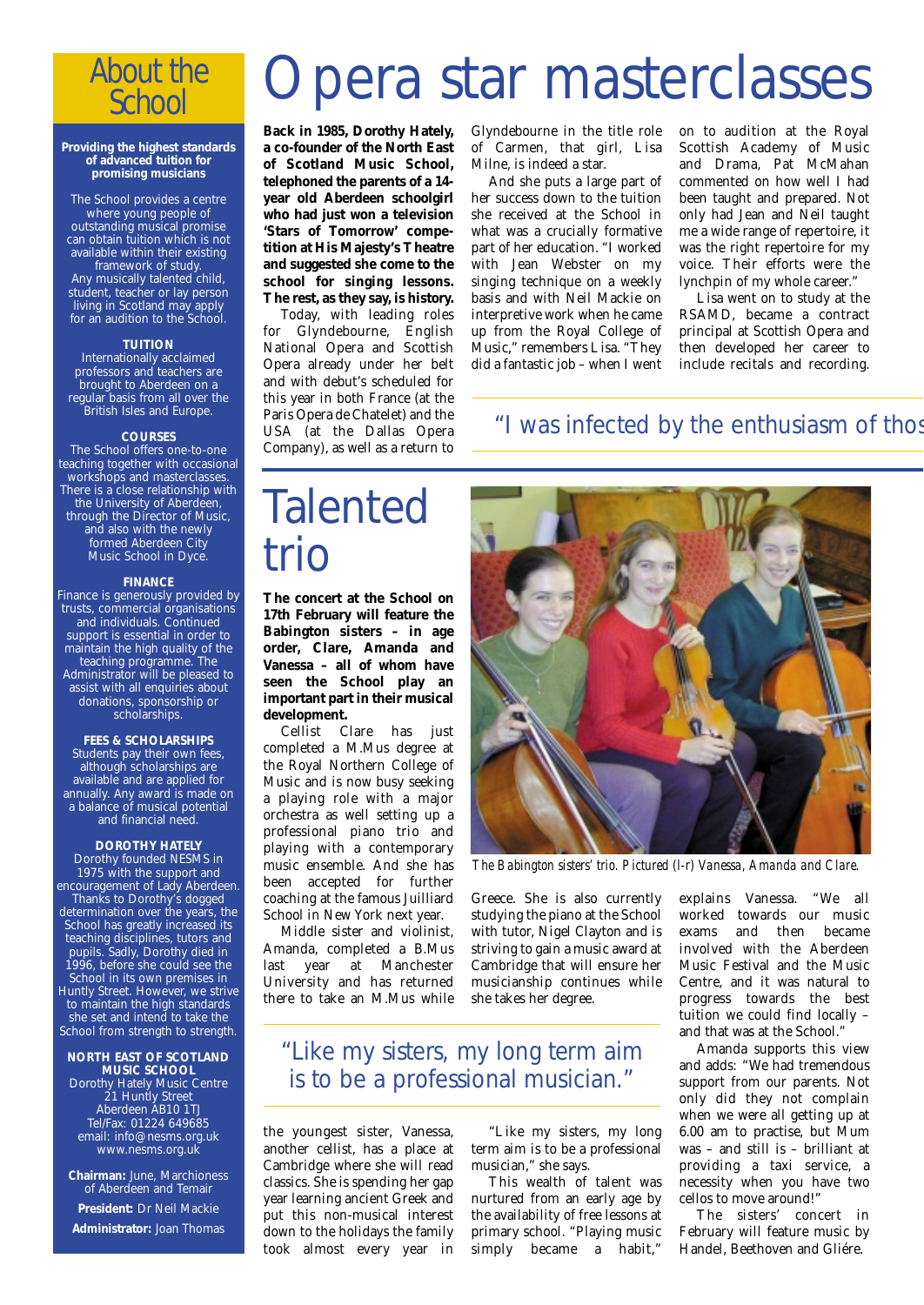## *About the School*

#### **Providing the highest standards of advanced tuition for promising musicians**

The School provides a centre where young people of outstanding musical promise can obtain tuition which is not available within their existing framework of study. Any musically talented child, student, teacher or lay person living in Scotland may apply for an audition to the School.

#### **TUITION**

Internationally acclaimed professors and teachers are brought to Aberdeen on a regular basis from all over the British Isles and Europe.

#### **COURSES**

The School offers one-to-one teaching together with occasional workshops and masterclasses. There is a close relationship with the University of Aberdeen, through the Director of Music, and also with the newly formed Aberdeen City Music School in Dyce.

#### **FINANCE**

Finance is generously provided by trusts, commercial organisations and individuals. Continued support is essential in order to maintain the high quality of the teaching programme. The Administrator will be pleased to assist with all enquiries about donations, sponsorship or scholarships.

#### **FEES & SCHOLARSHIPS**

Students pay their own fees, although scholarships are available and are applied for annually. Any award is made on a balance of musical potential and financial need.

#### **DOROTHY HATELY**

Dorothy founded NESMS in 1975 with the support and encouragement of Lady Aberdeen. Thanks to Dorothy's dogged determination over the years, the School has greatly increased its teaching disciplines, tutors and pupils. Sadly, Dorothy died in 1996, before she could see the School in its own premises in Huntly Street. However, we strive to maintain the high standards she set and intend to take the School from strength to strength.

#### **NORTH EAST OF SCOTLAND MUSIC SCHOOL**

Dorothy Hately Music Centre 21 Huntly Street Aberdeen AB10 1TJ Tel/Fax: 01224 649685 email: info@nesms.org.uk www.nesms.org.uk

**Chairman:** June, Marchioness of Aberdeen and Temair **President:** Dr Neil Mackie **Administrator:** Joan Thomas

# Opera star masterclasses

**Back in 1985, Dorothy Hately, a co-founder of the North East of Scotland Music School, telephoned the parents of a 14 year old Aberdeen schoolgirl who had just won a television 'Stars of Tomorrow' competition at His Majesty's Theatre and suggested she come to the school for singing lessons. The rest, as they say, is history.**

Today, with leading roles for Glyndebourne, English National Opera and Scottish Opera already under her belt and with debut's scheduled for this year in both France (at the Paris Opera de Chatelet) and the USA (at the Dallas Opera Company), as well as a return to Glyndebourne in the title role of Carmen, that girl, Lisa Milne, is indeed a star.

And she puts a large part of her success down to the tuition she received at the School in what was a crucially formative part of her education. "I worked with Jean Webster on my singing technique on a weekly basis and with Neil Mackie on interpretive work when he came up from the Royal College of Music," remembers Lisa. "They did a fantastic job – when I went

on to audition at the Royal Scottish Academy of Music and Drama, Pat McMahan commented on how well I had been taught and prepared. Not only had Jean and Neil taught me a wide range of repertoire, it was the right repertoire for my voice. Their efforts were the lynchpin of my whole career."

Lisa went on to study at the RSAMD, became a contract principal at Scottish Opera and then developed her career to include recitals and recording.

"I was infected by the enthusiasm of thos

## Talented trio

**The concert at the School on 17th February will feature the Babington sisters – in age order, Clare, Amanda and Vanessa – all of whom have seen the School play an important part in their musical development.**

Cellist Clare has just completed a M.Mus degree at the Royal Northern College of Music and is now busy seeking a playing role with a major orchestra as well setting up a professional piano trio and playing with a contemporary music ensemble. And she has been accepted for further coaching at the famous Juilliard School in New York next year.

Middle sister and violinist, Amanda, completed a B.Mus last year at Manchester University and has returned there to take an M.Mus while

Greece. She is also currently studying the piano at the School with tutor, Nigel Clayton and is striving to gain a music award at Cambridge that will ensure her musicianship continues while she takes her degree.

### "Like my sisters, my long term aim is to be a professional musician."

the youngest sister, Vanessa, another cellist, has a place at Cambridge where she will read classics. She is spending her gap year learning ancient Greek and put this non-musical interest down to the holidays the family took almost every year in

"Like my sisters, my long term aim is to be a professional musician," she says.

This wealth of talent was nurtured from an early age by the availability of free lessons at primary school. "Playing music simply became a habit,"

explains Vanessa. "We all worked towards our music exams and then became involved with the Aberdeen Music Festival and the Music Centre, and it was natural to progress towards the best tuition we could find locally – and that was at the School."

Amanda supports this view and adds: "We had tremendous support from our parents. Not only did they not complain when we were all getting up at 6.00 am to practise, but Mum was – and still is – brilliant at providing a taxi service, a necessity when you have two cellos to move around!"

The sisters' concert in February will feature music by Handel, Beethoven and Gliére.



*The Babington sisters' trio. Pictured (l-r) Vanessa, Amanda and Clare.*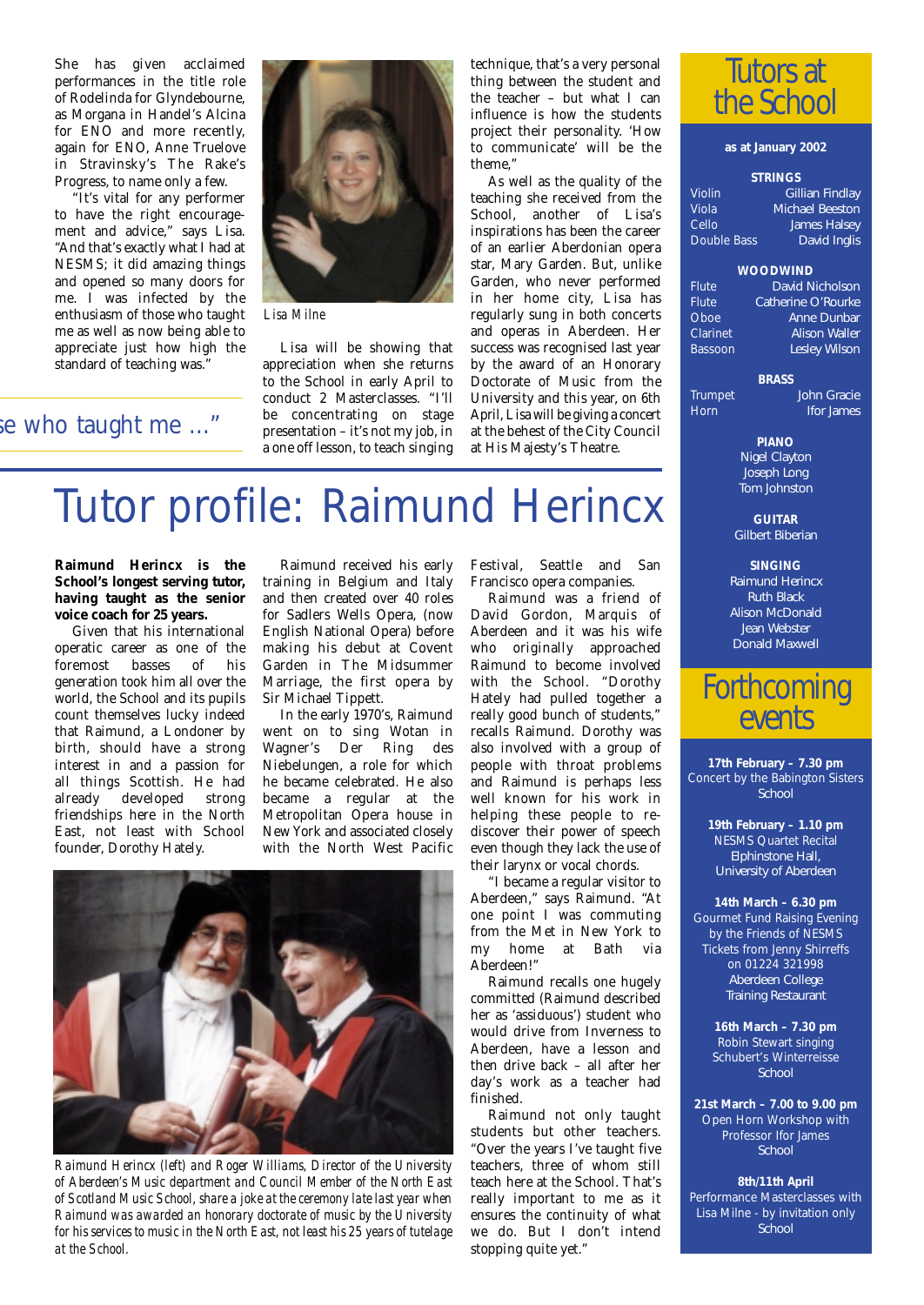She has given acclaimed performances in the title role of Rodelinda for Glyndebourne, as Morgana in Handel's Alcina for ENO and more recently. again for ENO, Anne Truelove in Stravinsky's The Rake's Progress, to name only a few.

"It's vital for any performer to have the right encouragement and advice," says Lisa. "And that's exactly what I had at NESMS; it did amazing things and opened so many doors for me. I was infected by the enthusiasm of those who taught me as well as now being able to appreciate just how high the standard of teaching was."

se who taught me ..."

*Lisa Milne*

Lisa will be showing that appreciation when she returns to the School in early April to conduct 2 Masterclasses. "I'll be concentrating on stage presentation – it's not my job, in a one off lesson, to teach singing technique, that's a very personal thing between the student and the teacher – but what I can influence is how the students project their personality. 'How to communicate' will be the theme,"

As well as the quality of the teaching she received from the School, another of Lisa's inspirations has been the career of an earlier Aberdonian opera star, Mary Garden. But, unlike Garden, who never performed in her home city, Lisa has regularly sung in both concerts and operas in Aberdeen. Her success was recognised last year by the award of an Honorary Doctorate of Music from the University and this year, on 6th April, Lisa will be giving a concert at the behest of the City Council at His Majesty's Theatre.



#### **as at January 2002**

#### **STRINGS**

| Violin      | Gillian Findlay        |
|-------------|------------------------|
| Viola       | <b>Michael Beeston</b> |
| Cello       | <b>James Halsey</b>    |
| Double Bass | David Inglis           |

#### **WOODWIND**

Flute *David Nicholson*  $\overline{\text{C}atherine~O'}$ Rourke Oboe *Anne Dunbar* Clarinet *Alison Waller* Bassoon *Lesley Wilson*

#### **BRASS**

Trumpet *John Gracie Ifor James* 

> **PIANO** *Nigel Clayton Joseph Long Tom Johnston*

**GUITAR** *Gilbert Biberian*

**SINGING** *Raimund Herincx Ruth Black Alison McDonald Jean Webster Donald Maxwell*

## *Forthcoming events*

**17th February – 7.30 pm** Concert by the Babington Sisters *School*

> **19th February – 1.10 pm** NESMS Quartet Recital *Elphinstone Hall, University of Aberdeen*

**14th March – 6.30 pm** Gourmet Fund Raising Evening by the Friends of NESMS Tickets from Jenny Shirreffs on 01224 321998 *Aberdeen College Training Restaurant*

> **16th March – 7.30 pm** Robin Stewart singing Schubert's Winterreisse *School*

**21st March – 7.00 to 9.00 pm** Open Horn Workshop with Professor Ifor James *School*

**8th/11th April** Performance Masterclasses with Lisa Milne - by invitation only *School* 

## Tutor profile: Raimund Herincx

#### **Raimund Herincx is the School's longest serving tutor, having taught as the senior voice coach for 25 years.**

Given that his international operatic career as one of the<br>foremost basses of his foremost basses of generation took him all over the world, the School and its pupils count themselves lucky indeed that Raimund, a Londoner by birth, should have a strong interest in and a passion for all things Scottish. He had already developed strong friendships here in the North East, not least with School founder, Dorothy Hately.

Raimund received his early training in Belgium and Italy and then created over 40 roles for Sadlers Wells Opera, (now English National Opera) before making his debut at Covent Garden in The Midsummer Marriage, the first opera by Sir Michael Tippett.

In the early 1970's, Raimund went on to sing Wotan in Wagner's Der Ring des Niebelungen, a role for which he became celebrated. He also became a regular at the Metropolitan Opera house in New York and associated closely with the North West Pacific



*Raimund Herincx (left) and Roger Williams, Director of the University of Aberdeen's Music department and Council Member of the North East of Scotland Music School, share a joke at the ceremony late last year when Raimund was awarded an honorary doctorate of music by the University for his services to music in the North East, not least his 25 years of tutelage at the School.*

Festival, Seattle and San Francisco opera companies.

Raimund was a friend of David Gordon, Marquis of Aberdeen and it was his wife who originally approached Raimund to become involved with the School. "Dorothy Hately had pulled together a really good bunch of students," recalls Raimund. Dorothy was also involved with a group of people with throat problems and Raimund is perhaps less well known for his work in helping these people to rediscover their power of speech even though they lack the use of their larynx or vocal chords.

"I became a regular visitor to Aberdeen," says Raimund. "At one point I was commuting from the Met in New York to<br>my home at Bath via at Bath via Aberdeen!"

Raimund recalls one hugely committed (Raimund described her as 'assiduous') student who would drive from Inverness to Aberdeen, have a lesson and then drive back – all after her day's work as a teacher had finished.

Raimund not only taught students but other teachers. "Over the years I've taught five teachers, three of whom still teach here at the School. That's really important to me as it ensures the continuity of what we do. But I don't intend stopping quite yet."